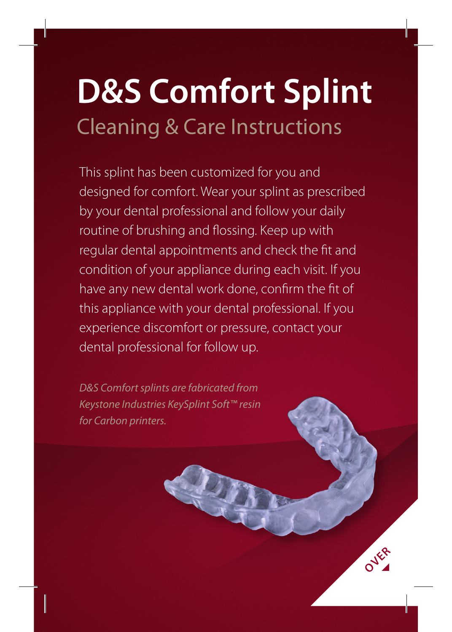# **D&S Comfort Splint** Cleaning & Care Instructions

This splint has been customized for you and designed for comfort. Wear your splint as prescribed by your dental professional and follow your daily routine of brushing and flossing. Keep up with regular dental appointments and check the fit and condition of your appliance during each visit. If you have any new dental work done, confirm the fit of this appliance with your dental professional. If you experience discomfort or pressure, contact your dental professional for follow up.

OVER<sub>R</sub>

*D&S Comfort splints are fabricated from Keystone Industries KeySplint Soft™ resin for Carbon printers.*